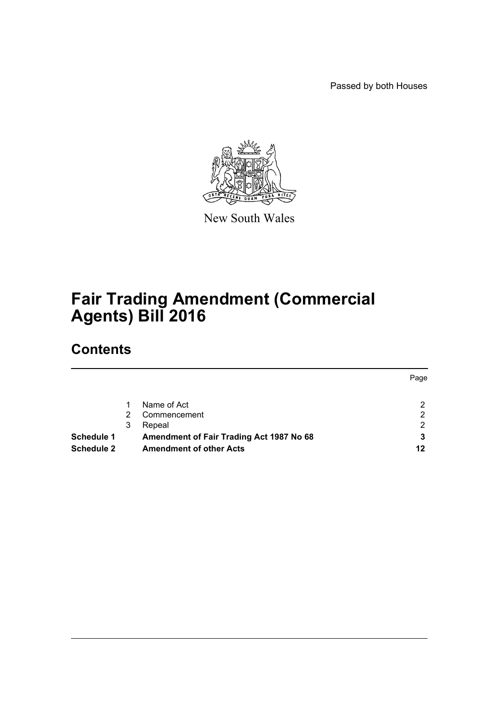Passed by both Houses



New South Wales

# **Fair Trading Amendment (Commercial Agents) Bill 2016**

# **Contents**

| Page                                          |
|-----------------------------------------------|
| 2                                             |
| 2                                             |
| 2                                             |
| Amendment of Fair Trading Act 1987 No 68<br>3 |
| 12                                            |
|                                               |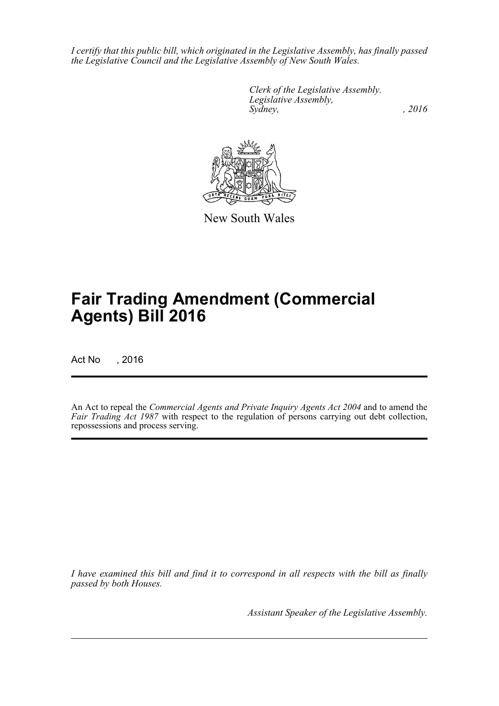*I certify that this public bill, which originated in the Legislative Assembly, has finally passed the Legislative Council and the Legislative Assembly of New South Wales.*

> *Clerk of the Legislative Assembly. Legislative Assembly, Sydney,* , 2016



New South Wales

# **Fair Trading Amendment (Commercial Agents) Bill 2016**

Act No , 2016

An Act to repeal the *Commercial Agents and Private Inquiry Agents Act 2004* and to amend the *Fair Trading Act 1987* with respect to the regulation of persons carrying out debt collection, repossessions and process serving.

*I have examined this bill and find it to correspond in all respects with the bill as finally passed by both Houses.*

*Assistant Speaker of the Legislative Assembly.*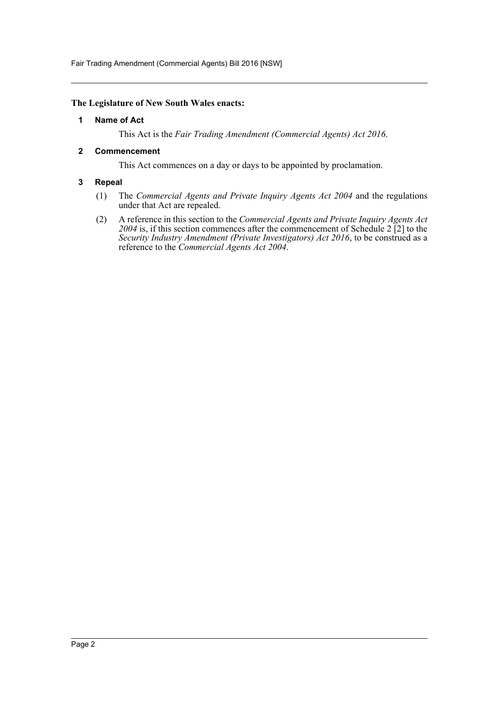Fair Trading Amendment (Commercial Agents) Bill 2016 [NSW]

### <span id="page-2-0"></span>**The Legislature of New South Wales enacts:**

### **1 Name of Act**

This Act is the *Fair Trading Amendment (Commercial Agents) Act 2016*.

### <span id="page-2-1"></span>**2 Commencement**

This Act commences on a day or days to be appointed by proclamation.

### <span id="page-2-2"></span>**3 Repeal**

- (1) The *Commercial Agents and Private Inquiry Agents Act 2004* and the regulations under that Act are repealed.
- (2) A reference in this section to the *Commercial Agents and Private Inquiry Agents Act 2004* is, if this section commences after the commencement of Schedule 2 [2] to the *Security Industry Amendment (Private Investigators) Act 2016*, to be construed as a reference to the *Commercial Agents Act 2004*.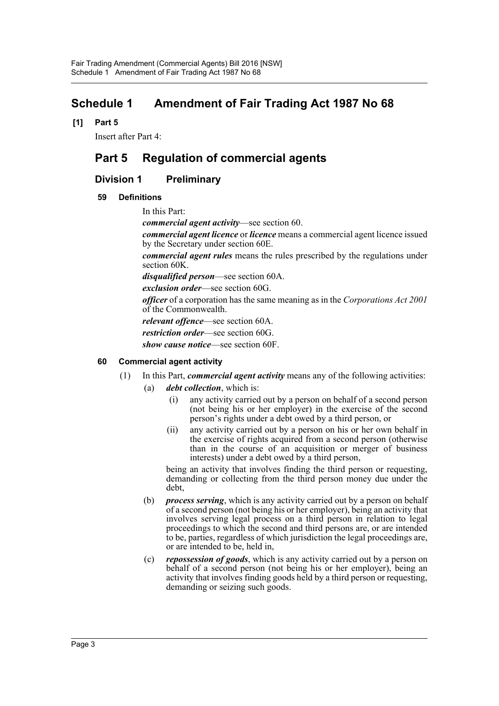## <span id="page-3-0"></span>**Schedule 1 Amendment of Fair Trading Act 1987 No 68**

**[1] Part 5**

Insert after Part 4:

## **Part 5 Regulation of commercial agents**

### **Division 1 Preliminary**

### **59 Definitions**

In this Part:

*commercial agent activity*—see section 60.

*commercial agent licence* or *licence* means a commercial agent licence issued by the Secretary under section 60E.

*commercial agent rules* means the rules prescribed by the regulations under section 60K.

*disqualified person*—see section 60A.

*exclusion order*—see section 60G.

*officer* of a corporation has the same meaning as in the *Corporations Act 2001* of the Commonwealth.

*relevant offence*—see section 60A.

*restriction order*—see section 60G.

*show cause notice*—see section 60F.

### **60 Commercial agent activity**

- (1) In this Part, *commercial agent activity* means any of the following activities:
	- (a) *debt collection*, which is:
		- (i) any activity carried out by a person on behalf of a second person (not being his or her employer) in the exercise of the second person's rights under a debt owed by a third person, or
		- (ii) any activity carried out by a person on his or her own behalf in the exercise of rights acquired from a second person (otherwise than in the course of an acquisition or merger of business interests) under a debt owed by a third person,

being an activity that involves finding the third person or requesting, demanding or collecting from the third person money due under the debt,

- (b) *process serving*, which is any activity carried out by a person on behalf of a second person (not being his or her employer), being an activity that involves serving legal process on a third person in relation to legal proceedings to which the second and third persons are, or are intended to be, parties, regardless of which jurisdiction the legal proceedings are, or are intended to be, held in,
- (c) *repossession of goods*, which is any activity carried out by a person on behalf of a second person (not being his or her employer), being an activity that involves finding goods held by a third person or requesting, demanding or seizing such goods.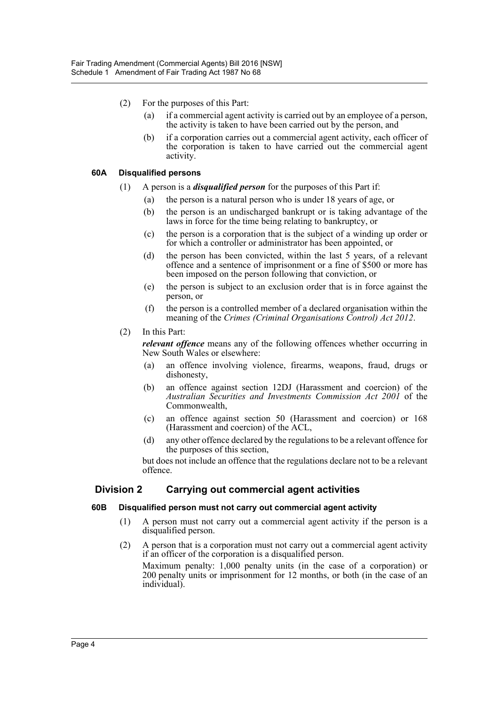- (2) For the purposes of this Part:
	- (a) if a commercial agent activity is carried out by an employee of a person, the activity is taken to have been carried out by the person, and
	- (b) if a corporation carries out a commercial agent activity, each officer of the corporation is taken to have carried out the commercial agent activity.

### **60A Disqualified persons**

- (1) A person is a *disqualified person* for the purposes of this Part if:
	- (a) the person is a natural person who is under 18 years of age, or
	- (b) the person is an undischarged bankrupt or is taking advantage of the laws in force for the time being relating to bankruptcy, or
	- (c) the person is a corporation that is the subject of a winding up order or for which a controller or administrator has been appointed, or
	- (d) the person has been convicted, within the last 5 years, of a relevant offence and a sentence of imprisonment or a fine of \$500 or more has been imposed on the person following that conviction, or
	- (e) the person is subject to an exclusion order that is in force against the person, or
	- (f) the person is a controlled member of a declared organisation within the meaning of the *Crimes (Criminal Organisations Control) Act 2012*.
- (2) In this Part:

*relevant offence* means any of the following offences whether occurring in New South Wales or elsewhere:

- (a) an offence involving violence, firearms, weapons, fraud, drugs or dishonesty,
- (b) an offence against section 12DJ (Harassment and coercion) of the *Australian Securities and Investments Commission Act 2001* of the Commonwealth,
- (c) an offence against section 50 (Harassment and coercion) or 168 (Harassment and coercion) of the ACL,
- (d) any other offence declared by the regulations to be a relevant offence for the purposes of this section,

but does not include an offence that the regulations declare not to be a relevant offence.

### **Division 2 Carrying out commercial agent activities**

### **60B Disqualified person must not carry out commercial agent activity**

- (1) A person must not carry out a commercial agent activity if the person is a disqualified person.
- (2) A person that is a corporation must not carry out a commercial agent activity if an officer of the corporation is a disqualified person.

Maximum penalty: 1,000 penalty units (in the case of a corporation) or 200 penalty units or imprisonment for 12 months, or both (in the case of an individual).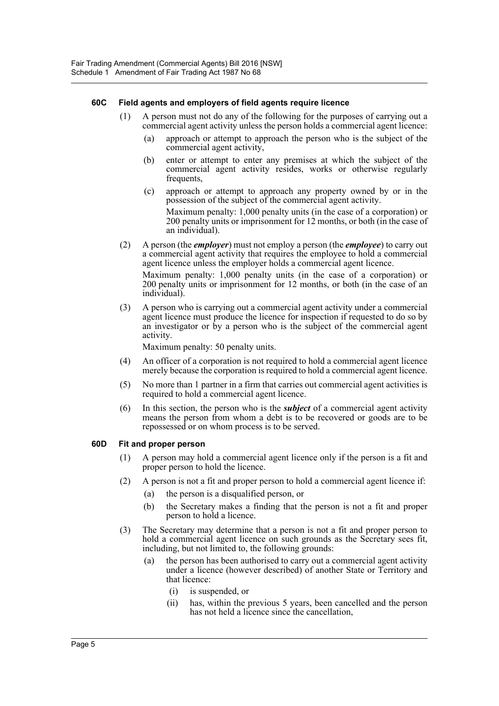### **60C Field agents and employers of field agents require licence**

- (1) A person must not do any of the following for the purposes of carrying out a commercial agent activity unless the person holds a commercial agent licence:
	- (a) approach or attempt to approach the person who is the subject of the commercial agent activity,
	- (b) enter or attempt to enter any premises at which the subject of the commercial agent activity resides, works or otherwise regularly frequents,
	- (c) approach or attempt to approach any property owned by or in the possession of the subject of the commercial agent activity.

Maximum penalty: 1,000 penalty units (in the case of a corporation) or 200 penalty units or imprisonment for 12 months, or both (in the case of an individual).

(2) A person (the *employer*) must not employ a person (the *employee*) to carry out a commercial agent activity that requires the employee to hold a commercial agent licence unless the employer holds a commercial agent licence.

Maximum penalty: 1,000 penalty units (in the case of a corporation) or 200 penalty units or imprisonment for 12 months, or both (in the case of an individual).

(3) A person who is carrying out a commercial agent activity under a commercial agent licence must produce the licence for inspection if requested to do so by an investigator or by a person who is the subject of the commercial agent activity.

Maximum penalty: 50 penalty units.

- (4) An officer of a corporation is not required to hold a commercial agent licence merely because the corporation is required to hold a commercial agent licence.
- (5) No more than 1 partner in a firm that carries out commercial agent activities is required to hold a commercial agent licence.
- (6) In this section, the person who is the *subject* of a commercial agent activity means the person from whom a debt is to be recovered or goods are to be repossessed or on whom process is to be served.

### **60D Fit and proper person**

- (1) A person may hold a commercial agent licence only if the person is a fit and proper person to hold the licence.
- (2) A person is not a fit and proper person to hold a commercial agent licence if:
	- (a) the person is a disqualified person, or
	- (b) the Secretary makes a finding that the person is not a fit and proper person to hold a licence.
- (3) The Secretary may determine that a person is not a fit and proper person to hold a commercial agent licence on such grounds as the Secretary sees fit, including, but not limited to, the following grounds:
	- (a) the person has been authorised to carry out a commercial agent activity under a licence (however described) of another State or Territory and that licence:
		- (i) is suspended, or
		- (ii) has, within the previous 5 years, been cancelled and the person has not held a licence since the cancellation,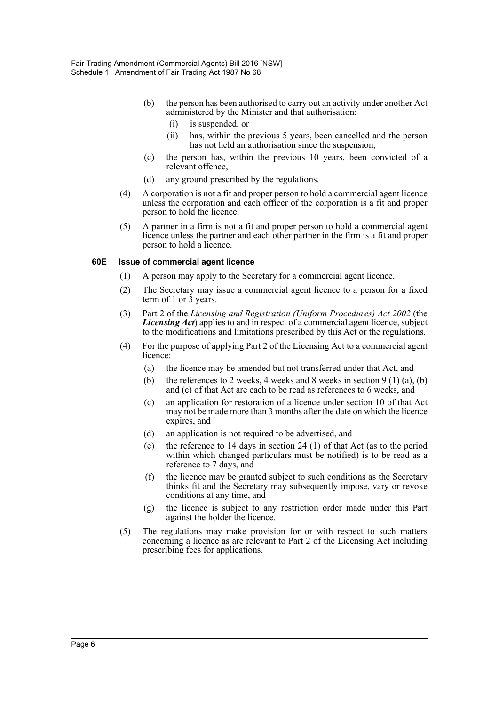- (b) the person has been authorised to carry out an activity under another Act administered by the Minister and that authorisation:
	- (i) is suspended, or
	- (ii) has, within the previous 5 years, been cancelled and the person has not held an authorisation since the suspension,
- (c) the person has, within the previous 10 years, been convicted of a relevant offence,
- (d) any ground prescribed by the regulations.
- (4) A corporation is not a fit and proper person to hold a commercial agent licence unless the corporation and each officer of the corporation is a fit and proper person to hold the licence.
- (5) A partner in a firm is not a fit and proper person to hold a commercial agent licence unless the partner and each other partner in the firm is a fit and proper person to hold a licence.

### **60E Issue of commercial agent licence**

- (1) A person may apply to the Secretary for a commercial agent licence.
- (2) The Secretary may issue a commercial agent licence to a person for a fixed term of 1 or  $\overline{3}$  years.
- (3) Part 2 of the *Licensing and Registration (Uniform Procedures) Act 2002* (the *Licensing Act*) applies to and in respect of a commercial agent licence, subject to the modifications and limitations prescribed by this Act or the regulations.
- (4) For the purpose of applying Part 2 of the Licensing Act to a commercial agent licence:
	- (a) the licence may be amended but not transferred under that Act, and
	- (b) the references to 2 weeks, 4 weeks and 8 weeks in section 9 (1) (a), (b) and (c) of that Act are each to be read as references to 6 weeks, and
	- (c) an application for restoration of a licence under section 10 of that Act may not be made more than 3 months after the date on which the licence expires, and
	- (d) an application is not required to be advertised, and
	- (e) the reference to 14 days in section 24 (1) of that Act (as to the period within which changed particulars must be notified) is to be read as a reference to 7 days, and
	- (f) the licence may be granted subject to such conditions as the Secretary thinks fit and the Secretary may subsequently impose, vary or revoke conditions at any time, and
	- (g) the licence is subject to any restriction order made under this Part against the holder the licence.
- (5) The regulations may make provision for or with respect to such matters concerning a licence as are relevant to Part 2 of the Licensing Act including prescribing fees for applications.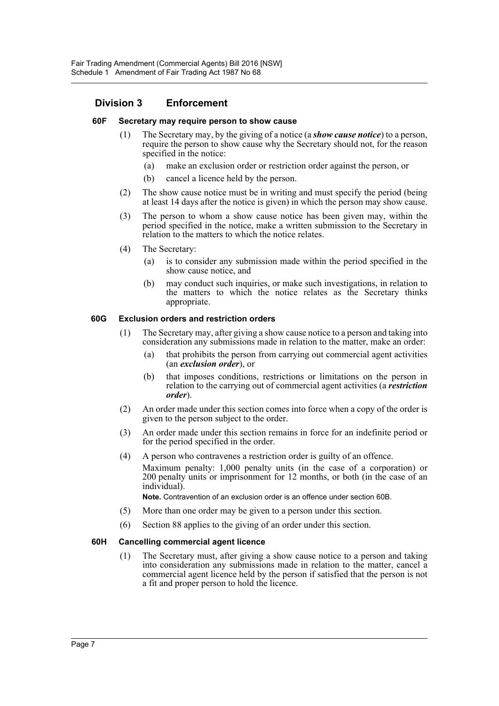### **Division 3 Enforcement**

#### **60F Secretary may require person to show cause**

- (1) The Secretary may, by the giving of a notice (a *show cause notice*) to a person, require the person to show cause why the Secretary should not, for the reason specified in the notice:
	- (a) make an exclusion order or restriction order against the person, or
	- (b) cancel a licence held by the person.
- (2) The show cause notice must be in writing and must specify the period (being at least 14 days after the notice is given) in which the person may show cause.
- (3) The person to whom a show cause notice has been given may, within the period specified in the notice, make a written submission to the Secretary in relation to the matters to which the notice relates.
- (4) The Secretary:
	- (a) is to consider any submission made within the period specified in the show cause notice, and
	- (b) may conduct such inquiries, or make such investigations, in relation to the matters to which the notice relates as the Secretary thinks appropriate.

#### **60G Exclusion orders and restriction orders**

- (1) The Secretary may, after giving a show cause notice to a person and taking into consideration any submissions made in relation to the matter, make an order:
	- (a) that prohibits the person from carrying out commercial agent activities (an *exclusion order*), or
	- (b) that imposes conditions, restrictions or limitations on the person in relation to the carrying out of commercial agent activities (a *restriction order*).
- (2) An order made under this section comes into force when a copy of the order is given to the person subject to the order.
- (3) An order made under this section remains in force for an indefinite period or for the period specified in the order.
- (4) A person who contravenes a restriction order is guilty of an offence. Maximum penalty: 1,000 penalty units (in the case of a corporation) or 200 penalty units or imprisonment for 12 months, or both (in the case of an individual).

**Note.** Contravention of an exclusion order is an offence under section 60B.

- (5) More than one order may be given to a person under this section.
- (6) Section 88 applies to the giving of an order under this section.

### **60H Cancelling commercial agent licence**

(1) The Secretary must, after giving a show cause notice to a person and taking into consideration any submissions made in relation to the matter, cancel a commercial agent licence held by the person if satisfied that the person is not a fit and proper person to hold the licence.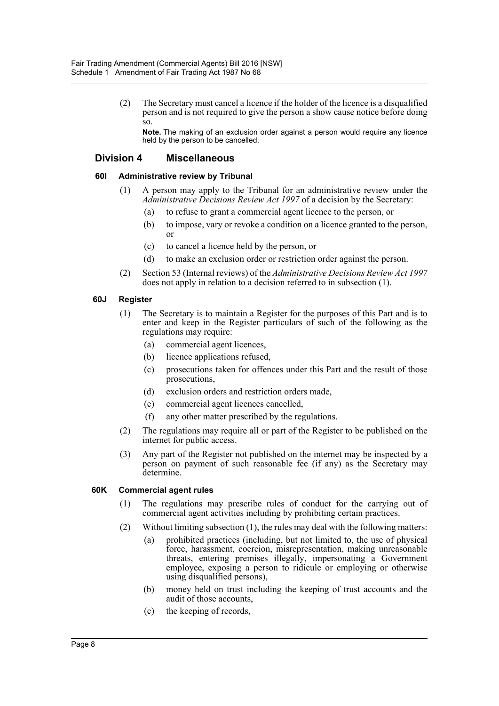(2) The Secretary must cancel a licence if the holder of the licence is a disqualified person and is not required to give the person a show cause notice before doing so.

**Note.** The making of an exclusion order against a person would require any licence held by the person to be cancelled.

### **Division 4 Miscellaneous**

### **60I Administrative review by Tribunal**

- (1) A person may apply to the Tribunal for an administrative review under the *Administrative Decisions Review Act 1997* of a decision by the Secretary:
	- (a) to refuse to grant a commercial agent licence to the person, or
	- (b) to impose, vary or revoke a condition on a licence granted to the person, or
	- (c) to cancel a licence held by the person, or
	- (d) to make an exclusion order or restriction order against the person.
- (2) Section 53 (Internal reviews) of the *Administrative Decisions Review Act 1997* does not apply in relation to a decision referred to in subsection (1).

#### **60J Register**

- (1) The Secretary is to maintain a Register for the purposes of this Part and is to enter and keep in the Register particulars of such of the following as the regulations may require:
	- (a) commercial agent licences,
	- (b) licence applications refused,
	- (c) prosecutions taken for offences under this Part and the result of those prosecutions,
	- (d) exclusion orders and restriction orders made,
	- (e) commercial agent licences cancelled,
	- (f) any other matter prescribed by the regulations.
- (2) The regulations may require all or part of the Register to be published on the internet for public access.
- (3) Any part of the Register not published on the internet may be inspected by a person on payment of such reasonable fee (if any) as the Secretary may determine.

### **60K Commercial agent rules**

- (1) The regulations may prescribe rules of conduct for the carrying out of commercial agent activities including by prohibiting certain practices.
- (2) Without limiting subsection (1), the rules may deal with the following matters:
	- (a) prohibited practices (including, but not limited to, the use of physical force, harassment, coercion, misrepresentation, making unreasonable threats, entering premises illegally, impersonating a Government employee, exposing a person to ridicule or employing or otherwise using disqualified persons),
	- (b) money held on trust including the keeping of trust accounts and the audit of those accounts,
	- (c) the keeping of records,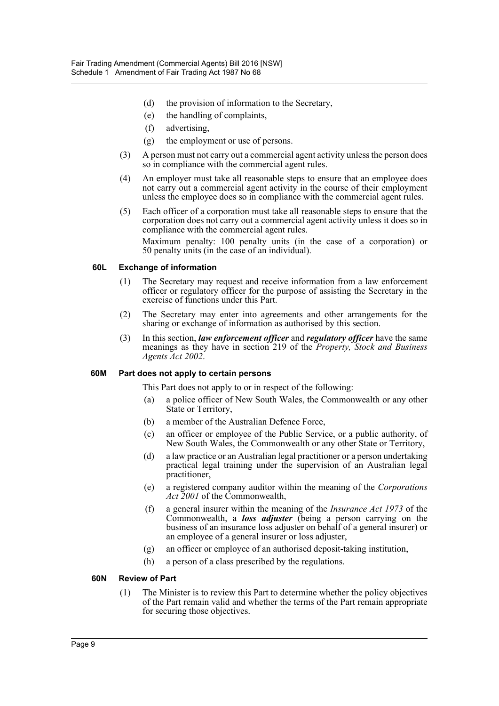- (d) the provision of information to the Secretary,
- (e) the handling of complaints,
- (f) advertising,
- (g) the employment or use of persons.
- (3) A person must not carry out a commercial agent activity unless the person does so in compliance with the commercial agent rules.
- (4) An employer must take all reasonable steps to ensure that an employee does not carry out a commercial agent activity in the course of their employment unless the employee does so in compliance with the commercial agent rules.
- (5) Each officer of a corporation must take all reasonable steps to ensure that the corporation does not carry out a commercial agent activity unless it does so in compliance with the commercial agent rules.

Maximum penalty: 100 penalty units (in the case of a corporation) or 50 penalty units (in the case of an individual).

#### **60L Exchange of information**

- (1) The Secretary may request and receive information from a law enforcement officer or regulatory officer for the purpose of assisting the Secretary in the exercise of functions under this Part.
- (2) The Secretary may enter into agreements and other arrangements for the sharing or exchange of information as authorised by this section.
- (3) In this section, *law enforcement officer* and *regulatory officer* have the same meanings as they have in section 219 of the *Property, Stock and Business Agents Act 2002*.

### **60M Part does not apply to certain persons**

This Part does not apply to or in respect of the following:

- (a) a police officer of New South Wales, the Commonwealth or any other State or Territory,
- (b) a member of the Australian Defence Force,
- (c) an officer or employee of the Public Service, or a public authority, of New South Wales, the Commonwealth or any other State or Territory,
- (d) a law practice or an Australian legal practitioner or a person undertaking practical legal training under the supervision of an Australian legal practitioner,
- (e) a registered company auditor within the meaning of the *Corporations Act 2001* of the Commonwealth,
- (f) a general insurer within the meaning of the *Insurance Act 1973* of the Commonwealth, a *loss adjuster* (being a person carrying on the business of an insurance loss adjuster on behalf of a general insurer) or an employee of a general insurer or loss adjuster,
- (g) an officer or employee of an authorised deposit-taking institution,
- (h) a person of a class prescribed by the regulations.

#### **60N Review of Part**

(1) The Minister is to review this Part to determine whether the policy objectives of the Part remain valid and whether the terms of the Part remain appropriate for securing those objectives.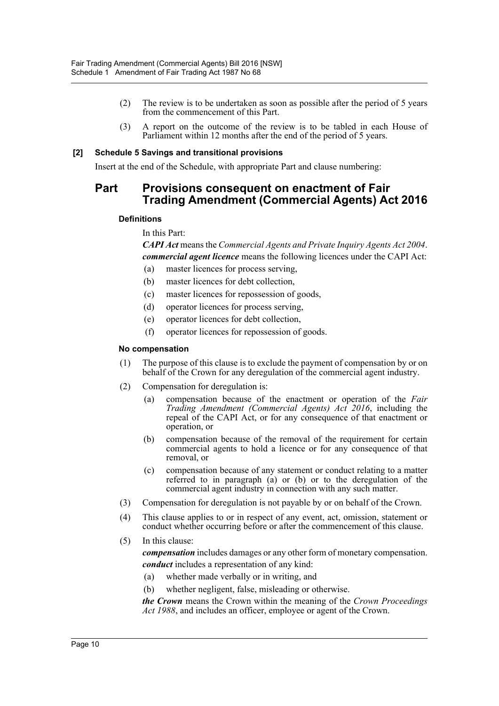- (2) The review is to be undertaken as soon as possible after the period of 5 years from the commencement of this Part.
- (3) A report on the outcome of the review is to be tabled in each House of Parliament within 12 months after the end of the period of 5 years.

### **[2] Schedule 5 Savings and transitional provisions**

Insert at the end of the Schedule, with appropriate Part and clause numbering:

### **Part Provisions consequent on enactment of Fair Trading Amendment (Commercial Agents) Act 2016**

### **Definitions**

In this Part:

*CAPI Act* means the *Commercial Agents and Private Inquiry Agents Act 2004*. *commercial agent licence* means the following licences under the CAPI Act:

- (a) master licences for process serving,
- (b) master licences for debt collection,
- (c) master licences for repossession of goods,
- (d) operator licences for process serving,
- (e) operator licences for debt collection,
- (f) operator licences for repossession of goods.

#### **No compensation**

- (1) The purpose of this clause is to exclude the payment of compensation by or on behalf of the Crown for any deregulation of the commercial agent industry.
- (2) Compensation for deregulation is:
	- (a) compensation because of the enactment or operation of the *Fair Trading Amendment (Commercial Agents) Act 2016*, including the repeal of the CAPI Act, or for any consequence of that enactment or operation, or
	- (b) compensation because of the removal of the requirement for certain commercial agents to hold a licence or for any consequence of that removal, or
	- (c) compensation because of any statement or conduct relating to a matter referred to in paragraph (a) or (b) or to the deregulation of the commercial agent industry in connection with any such matter.
- (3) Compensation for deregulation is not payable by or on behalf of the Crown.
- (4) This clause applies to or in respect of any event, act, omission, statement or conduct whether occurring before or after the commencement of this clause.
- (5) In this clause:

*compensation* includes damages or any other form of monetary compensation. *conduct* includes a representation of any kind:

- (a) whether made verbally or in writing, and
- (b) whether negligent, false, misleading or otherwise.

*the Crown* means the Crown within the meaning of the *Crown Proceedings Act 1988*, and includes an officer, employee or agent of the Crown.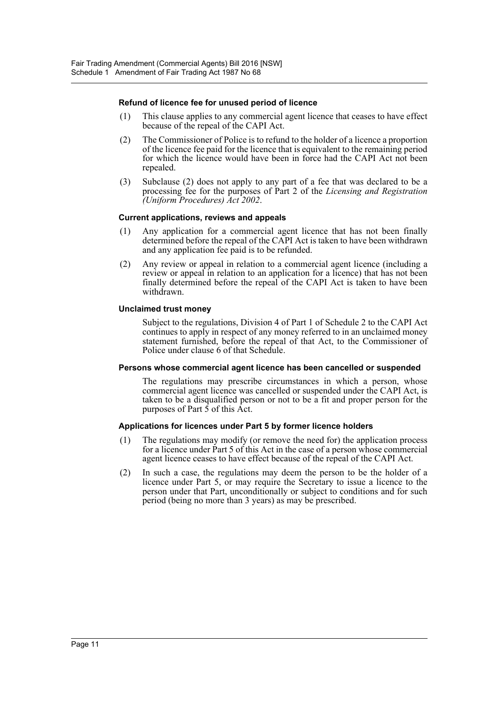### **Refund of licence fee for unused period of licence**

- (1) This clause applies to any commercial agent licence that ceases to have effect because of the repeal of the CAPI Act.
- (2) The Commissioner of Police is to refund to the holder of a licence a proportion of the licence fee paid for the licence that is equivalent to the remaining period for which the licence would have been in force had the CAPI Act not been repealed.
- (3) Subclause (2) does not apply to any part of a fee that was declared to be a processing fee for the purposes of Part 2 of the *Licensing and Registration (Uniform Procedures) Act 2002*.

#### **Current applications, reviews and appeals**

- (1) Any application for a commercial agent licence that has not been finally determined before the repeal of the CAPI Act is taken to have been withdrawn and any application fee paid is to be refunded.
- (2) Any review or appeal in relation to a commercial agent licence (including a review or appeal in relation to an application for a licence) that has not been finally determined before the repeal of the CAPI Act is taken to have been withdrawn.

#### **Unclaimed trust money**

Subject to the regulations, Division 4 of Part 1 of Schedule 2 to the CAPI Act continues to apply in respect of any money referred to in an unclaimed money statement furnished, before the repeal of that Act, to the Commissioner of Police under clause 6 of that Schedule.

#### **Persons whose commercial agent licence has been cancelled or suspended**

The regulations may prescribe circumstances in which a person, whose commercial agent licence was cancelled or suspended under the CAPI Act, is taken to be a disqualified person or not to be a fit and proper person for the purposes of Part  $\bar{5}$  of this Act.

#### **Applications for licences under Part 5 by former licence holders**

- (1) The regulations may modify (or remove the need for) the application process for a licence under Part 5 of this Act in the case of a person whose commercial agent licence ceases to have effect because of the repeal of the CAPI Act.
- (2) In such a case, the regulations may deem the person to be the holder of a licence under Part 5, or may require the Secretary to issue a licence to the person under that Part, unconditionally or subject to conditions and for such period (being no more than 3 years) as may be prescribed.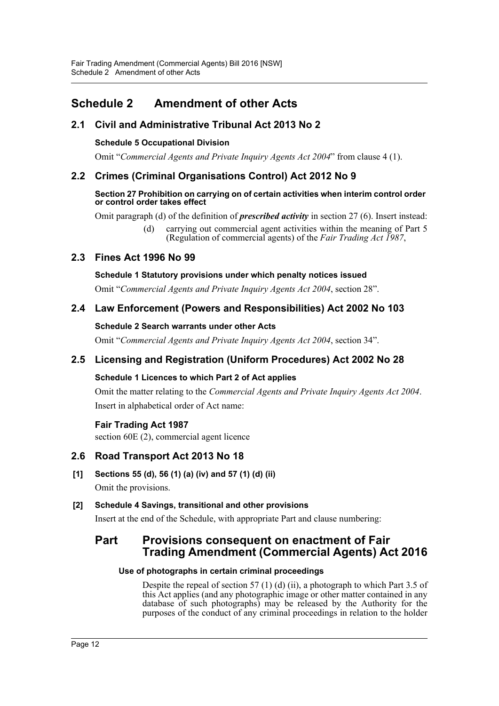## <span id="page-12-0"></span>**Schedule 2 Amendment of other Acts**

### **2.1 Civil and Administrative Tribunal Act 2013 No 2**

### **Schedule 5 Occupational Division**

Omit "*Commercial Agents and Private Inquiry Agents Act 2004*" from clause 4 (1).

### **2.2 Crimes (Criminal Organisations Control) Act 2012 No 9**

### **Section 27 Prohibition on carrying on of certain activities when interim control order or control order takes effect**

Omit paragraph (d) of the definition of *prescribed activity* in section 27 (6). Insert instead:

(d) carrying out commercial agent activities within the meaning of Part 5 (Regulation of commercial agents) of the *Fair Trading Act 1987*,

### **2.3 Fines Act 1996 No 99**

### **Schedule 1 Statutory provisions under which penalty notices issued**

Omit "*Commercial Agents and Private Inquiry Agents Act 2004*, section 28".

### **2.4 Law Enforcement (Powers and Responsibilities) Act 2002 No 103**

### **Schedule 2 Search warrants under other Acts**

Omit "*Commercial Agents and Private Inquiry Agents Act 2004*, section 34".

### **2.5 Licensing and Registration (Uniform Procedures) Act 2002 No 28**

### **Schedule 1 Licences to which Part 2 of Act applies**

Omit the matter relating to the *Commercial Agents and Private Inquiry Agents Act 2004*. Insert in alphabetical order of Act name:

### **Fair Trading Act 1987**

section 60E (2), commercial agent licence

### **2.6 Road Transport Act 2013 No 18**

**[1] Sections 55 (d), 56 (1) (a) (iv) and 57 (1) (d) (ii)** Omit the provisions.

### **[2] Schedule 4 Savings, transitional and other provisions**

Insert at the end of the Schedule, with appropriate Part and clause numbering:

### **Part Provisions consequent on enactment of Fair Trading Amendment (Commercial Agents) Act 2016**

### **Use of photographs in certain criminal proceedings**

Despite the repeal of section 57 (1) (d) (ii), a photograph to which Part 3.5 of this Act applies (and any photographic image or other matter contained in any database of such photographs) may be released by the Authority for the purposes of the conduct of any criminal proceedings in relation to the holder